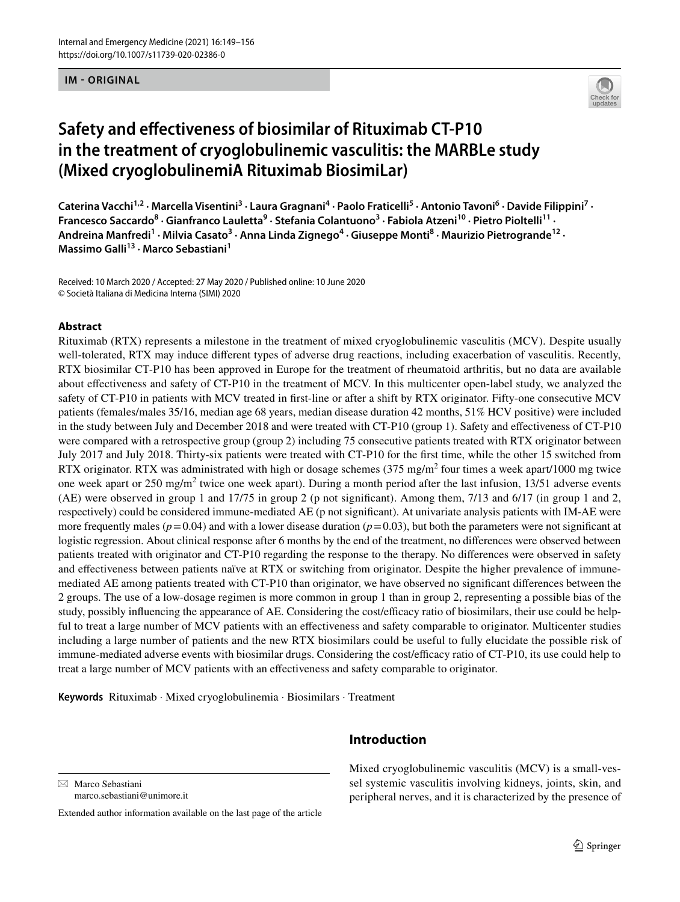**IM - ORIGINAL**



# **Safety and efectiveness of biosimilar of Rituximab CT‑P10 in the treatment of cryoglobulinemic vasculitis: the MARBLe study (Mixed cryoglobulinemiA Rituximab BiosimiLar)**

Caterina Vacchi<sup>1,2</sup> · Marcella Visentini<sup>3</sup> · Laura Gragnani<sup>4</sup> · Paolo Fraticelli<sup>5</sup> · Antonio Tavoni<sup>6</sup> · Davide Filippini<sup>7</sup> · Francesco Saccardo<sup>8</sup> · Gianfranco Lauletta<sup>9</sup> · Stefania Colantuono<sup>3</sup> · Fabiola Atzeni<sup>10</sup> · Pietro Pioltelli<sup>11</sup> · Andreina Manfredi<sup>1</sup> · Milvia Casato<sup>3</sup> · Anna Linda Zignego<sup>4</sup> · Giuseppe Monti<sup>8</sup> · Maurizio Pietrogrande<sup>12</sup> · **Massimo Galli13 · Marco Sebastiani1**

Received: 10 March 2020 / Accepted: 27 May 2020 / Published online: 10 June 2020 © Società Italiana di Medicina Interna (SIMI) 2020

### **Abstract**

Rituximab (RTX) represents a milestone in the treatment of mixed cryoglobulinemic vasculitis (MCV). Despite usually well-tolerated, RTX may induce diferent types of adverse drug reactions, including exacerbation of vasculitis. Recently, RTX biosimilar CT-P10 has been approved in Europe for the treatment of rheumatoid arthritis, but no data are available about efectiveness and safety of CT-P10 in the treatment of MCV. In this multicenter open-label study, we analyzed the safety of CT-P10 in patients with MCV treated in frst-line or after a shift by RTX originator. Fifty-one consecutive MCV patients (females/males 35/16, median age 68 years, median disease duration 42 months, 51% HCV positive) were included in the study between July and December 2018 and were treated with CT-P10 (group 1). Safety and efectiveness of CT-P10 were compared with a retrospective group (group 2) including 75 consecutive patients treated with RTX originator between July 2017 and July 2018. Thirty-six patients were treated with CT-P10 for the frst time, while the other 15 switched from RTX originator. RTX was administrated with high or dosage schemes  $(375 \text{ mg/m}^2)$  four times a week apart/1000 mg twice one week apart or  $250 \text{ mg/m}^2$  twice one week apart). During a month period after the last infusion,  $13/51$  adverse events (AE) were observed in group 1 and 17/75 in group 2 (p not signifcant). Among them, 7/13 and 6/17 (in group 1 and 2, respectively) could be considered immune-mediated AE (p not signifcant). At univariate analysis patients with IM-AE were more frequently males ( $p=0.04$ ) and with a lower disease duration ( $p=0.03$ ), but both the parameters were not significant at logistic regression. About clinical response after 6 months by the end of the treatment, no diferences were observed between patients treated with originator and CT-P10 regarding the response to the therapy. No diferences were observed in safety and efectiveness between patients naïve at RTX or switching from originator. Despite the higher prevalence of immunemediated AE among patients treated with CT-P10 than originator, we have observed no signifcant diferences between the 2 groups. The use of a low-dosage regimen is more common in group 1 than in group 2, representing a possible bias of the study, possibly influencing the appearance of AE. Considering the cost/efficacy ratio of biosimilars, their use could be helpful to treat a large number of MCV patients with an efectiveness and safety comparable to originator. Multicenter studies including a large number of patients and the new RTX biosimilars could be useful to fully elucidate the possible risk of immune-mediated adverse events with biosimilar drugs. Considering the cost/efficacy ratio of CT-P10, its use could help to treat a large number of MCV patients with an efectiveness and safety comparable to originator.

**Keywords** Rituximab · Mixed cryoglobulinemia · Biosimilars · Treatment

 $\boxtimes$  Marco Sebastiani marco.sebastiani@unimore.it

Extended author information available on the last page of the article

# **Introduction**

Mixed cryoglobulinemic vasculitis (MCV) is a small-vessel systemic vasculitis involving kidneys, joints, skin, and peripheral nerves, and it is characterized by the presence of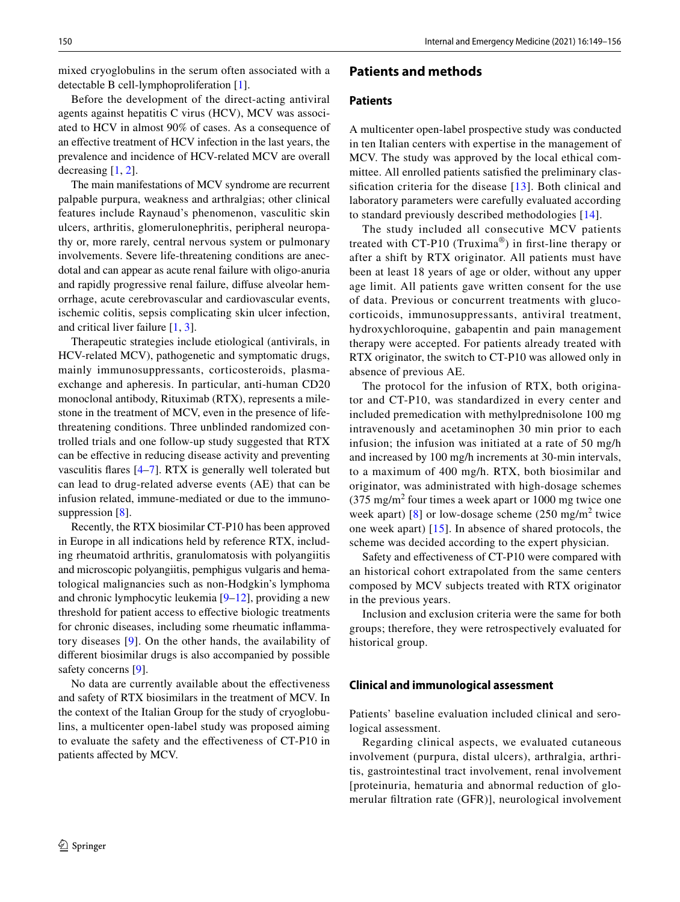mixed cryoglobulins in the serum often associated with a detectable B cell-lymphoproliferation [\[1](#page-6-0)].

Before the development of the direct-acting antiviral agents against hepatitis C virus (HCV), MCV was associated to HCV in almost 90% of cases. As a consequence of an efective treatment of HCV infection in the last years, the prevalence and incidence of HCV-related MCV are overall decreasing [\[1](#page-6-0), [2](#page-6-1)].

The main manifestations of MCV syndrome are recurrent palpable purpura, weakness and arthralgias; other clinical features include Raynaud's phenomenon, vasculitic skin ulcers, arthritis, glomerulonephritis, peripheral neuropathy or, more rarely, central nervous system or pulmonary involvements. Severe life-threatening conditions are anecdotal and can appear as acute renal failure with oligo-anuria and rapidly progressive renal failure, difuse alveolar hemorrhage, acute cerebrovascular and cardiovascular events, ischemic colitis, sepsis complicating skin ulcer infection, and critical liver failure [[1,](#page-6-0) [3\]](#page-6-2).

Therapeutic strategies include etiological (antivirals, in HCV-related MCV), pathogenetic and symptomatic drugs, mainly immunosuppressants, corticosteroids, plasmaexchange and apheresis. In particular, anti-human CD20 monoclonal antibody, Rituximab (RTX), represents a milestone in the treatment of MCV, even in the presence of lifethreatening conditions. Three unblinded randomized controlled trials and one follow-up study suggested that RTX can be efective in reducing disease activity and preventing vasculitis fares [[4–](#page-6-3)[7\]](#page-6-4). RTX is generally well tolerated but can lead to drug-related adverse events (AE) that can be infusion related, immune-mediated or due to the immuno-suppression [[8\]](#page-6-5).

Recently, the RTX biosimilar CT-P10 has been approved in Europe in all indications held by reference RTX, including rheumatoid arthritis, granulomatosis with polyangiitis and microscopic polyangiitis, pemphigus vulgaris and hematological malignancies such as non-Hodgkin's lymphoma and chronic lymphocytic leukemia [[9–](#page-6-6)[12\]](#page-7-0), providing a new threshold for patient access to efective biologic treatments for chronic diseases, including some rheumatic infammatory diseases [[9\]](#page-6-6). On the other hands, the availability of diferent biosimilar drugs is also accompanied by possible safety concerns [\[9](#page-6-6)].

No data are currently available about the effectiveness and safety of RTX biosimilars in the treatment of MCV. In the context of the Italian Group for the study of cryoglobulins, a multicenter open-label study was proposed aiming to evaluate the safety and the efectiveness of CT-P10 in patients afected by MCV.

### **Patients and methods**

### **Patients**

A multicenter open-label prospective study was conducted in ten Italian centers with expertise in the management of MCV. The study was approved by the local ethical committee. All enrolled patients satisfed the preliminary classifcation criteria for the disease [[13\]](#page-7-1). Both clinical and laboratory parameters were carefully evaluated according to standard previously described methodologies [\[14\]](#page-7-2).

The study included all consecutive MCV patients treated with CT-P10 (Truxima<sup>®</sup>) in first-line therapy or after a shift by RTX originator. All patients must have been at least 18 years of age or older, without any upper age limit. All patients gave written consent for the use of data. Previous or concurrent treatments with glucocorticoids, immunosuppressants, antiviral treatment, hydroxychloroquine, gabapentin and pain management therapy were accepted. For patients already treated with RTX originator, the switch to CT-P10 was allowed only in absence of previous AE.

The protocol for the infusion of RTX, both originator and CT-P10, was standardized in every center and included premedication with methylprednisolone 100 mg intravenously and acetaminophen 30 min prior to each infusion; the infusion was initiated at a rate of 50 mg/h and increased by 100 mg/h increments at 30-min intervals, to a maximum of 400 mg/h. RTX, both biosimilar and originator, was administrated with high-dosage schemes  $(375 \text{ mg/m}^2 \text{ four times a week apart or } 1000 \text{ mg twice one})$ week apart) [[8](#page-6-5)] or low-dosage scheme  $(250 \text{ mg/m}^2)$  twice one week apart) [\[15\]](#page-7-3). In absence of shared protocols, the scheme was decided according to the expert physician.

Safety and efectiveness of CT-P10 were compared with an historical cohort extrapolated from the same centers composed by MCV subjects treated with RTX originator in the previous years.

Inclusion and exclusion criteria were the same for both groups; therefore, they were retrospectively evaluated for historical group.

#### **Clinical and immunological assessment**

Patients' baseline evaluation included clinical and serological assessment.

Regarding clinical aspects, we evaluated cutaneous involvement (purpura, distal ulcers), arthralgia, arthritis, gastrointestinal tract involvement, renal involvement [proteinuria, hematuria and abnormal reduction of glomerular fltration rate (GFR)], neurological involvement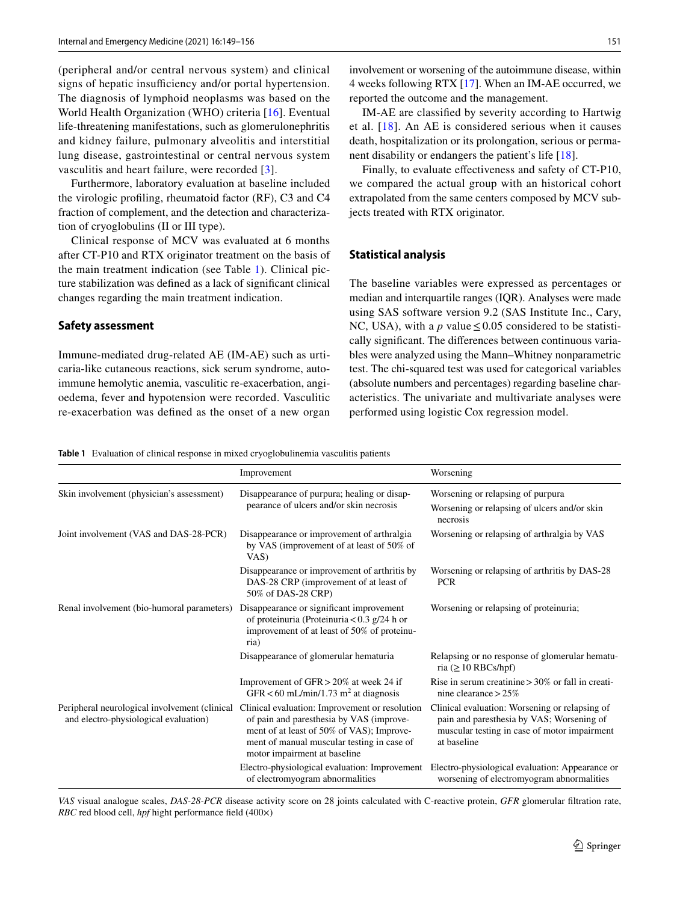(peripheral and/or central nervous system) and clinical signs of hepatic insufficiency and/or portal hypertension. The diagnosis of lymphoid neoplasms was based on the World Health Organization (WHO) criteria [\[16](#page-7-4)]. Eventual life-threatening manifestations, such as glomerulonephritis and kidney failure, pulmonary alveolitis and interstitial lung disease, gastrointestinal or central nervous system vasculitis and heart failure, were recorded [[3](#page-6-2)].

Furthermore, laboratory evaluation at baseline included the virologic profling, rheumatoid factor (RF), C3 and C4 fraction of complement, and the detection and characterization of cryoglobulins (II or III type).

Clinical response of MCV was evaluated at 6 months after CT-P10 and RTX originator treatment on the basis of the main treatment indication (see Table [1](#page-2-0)). Clinical picture stabilization was defned as a lack of signifcant clinical changes regarding the main treatment indication.

#### **Safety assessment**

Immune-mediated drug-related AE (IM-AE) such as urticaria-like cutaneous reactions, sick serum syndrome, autoimmune hemolytic anemia, vasculitic re-exacerbation, angioedema, fever and hypotension were recorded. Vasculitic re-exacerbation was defned as the onset of a new organ involvement or worsening of the autoimmune disease, within 4 weeks following RTX [\[17](#page-7-5)]. When an IM-AE occurred, we reported the outcome and the management.

IM-AE are classifed by severity according to Hartwig et al. [[18](#page-7-6)]. An AE is considered serious when it causes death, hospitalization or its prolongation, serious or permanent disability or endangers the patient's life [[18\]](#page-7-6).

Finally, to evaluate effectiveness and safety of CT-P10, we compared the actual group with an historical cohort extrapolated from the same centers composed by MCV subjects treated with RTX originator*.*

### **Statistical analysis**

The baseline variables were expressed as percentages or median and interquartile ranges (IQR). Analyses were made using SAS software version 9.2 (SAS Institute Inc., Cary, NC, USA), with a *p* value  $\leq 0.05$  considered to be statistically signifcant. The diferences between continuous variables were analyzed using the Mann–Whitney nonparametric test. The chi-squared test was used for categorical variables (absolute numbers and percentages) regarding baseline characteristics. The univariate and multivariate analyses were performed using logistic Cox regression model.

<span id="page-2-0"></span>**Table 1** Evaluation of clinical response in mixed cryoglobulinemia vasculitis patients

|                                                                                        | Improvement                                                                                                                                                                                                           | Worsening                                                                                                                                                  |
|----------------------------------------------------------------------------------------|-----------------------------------------------------------------------------------------------------------------------------------------------------------------------------------------------------------------------|------------------------------------------------------------------------------------------------------------------------------------------------------------|
| Skin involvement (physician's assessment)                                              | Disappearance of purpura; healing or disap-<br>pearance of ulcers and/or skin necrosis                                                                                                                                | Worsening or relapsing of purpura<br>Worsening or relapsing of ulcers and/or skin<br>necrosis                                                              |
| Joint involvement (VAS and DAS-28-PCR)                                                 | Disappearance or improvement of arthralgia<br>by VAS (improvement of at least of 50% of<br>VAS)                                                                                                                       | Worsening or relapsing of arthralgia by VAS                                                                                                                |
|                                                                                        | Disappearance or improvement of arthritis by<br>DAS-28 CRP (improvement of at least of<br>50% of DAS-28 CRP)                                                                                                          | Worsening or relapsing of arthritis by DAS-28<br><b>PCR</b>                                                                                                |
| Renal involvement (bio-humoral parameters)                                             | Disappearance or significant improvement<br>of proteinuria (Proteinuria $< 0.3$ g/24 h or<br>improvement of at least of 50% of proteinu-<br>ria)                                                                      | Worsening or relapsing of proteinuria;                                                                                                                     |
|                                                                                        | Disappearance of glomerular hematuria                                                                                                                                                                                 | Relapsing or no response of glomerular hematu-<br>ria ( $\geq$ 10 RBCs/hpf)                                                                                |
|                                                                                        | Improvement of GFR > 20% at week 24 if<br>GFR < 60 mL/min/1.73 m <sup>2</sup> at diagnosis                                                                                                                            | Rise in serum creatinine $> 30\%$ or fall in creati-<br>nine clearance $> 25\%$                                                                            |
| Peripheral neurological involvement (clinical<br>and electro-physiological evaluation) | Clinical evaluation: Improvement or resolution<br>of pain and paresthesia by VAS (improve-<br>ment of at least of 50% of VAS); Improve-<br>ment of manual muscular testing in case of<br>motor impairment at baseline | Clinical evaluation: Worsening or relapsing of<br>pain and paresthesia by VAS; Worsening of<br>muscular testing in case of motor impairment<br>at baseline |
|                                                                                        | Electro-physiological evaluation: Improvement<br>of electromyogram abnormalities                                                                                                                                      | Electro-physiological evaluation: Appearance or<br>worsening of electromyogram abnormalities                                                               |

*VAS* visual analogue scales, *DAS-28-PCR* disease activity score on 28 joints calculated with C-reactive protein, *GFR* glomerular fltration rate, *RBC* red blood cell, *hpf* hight performance feld (400×)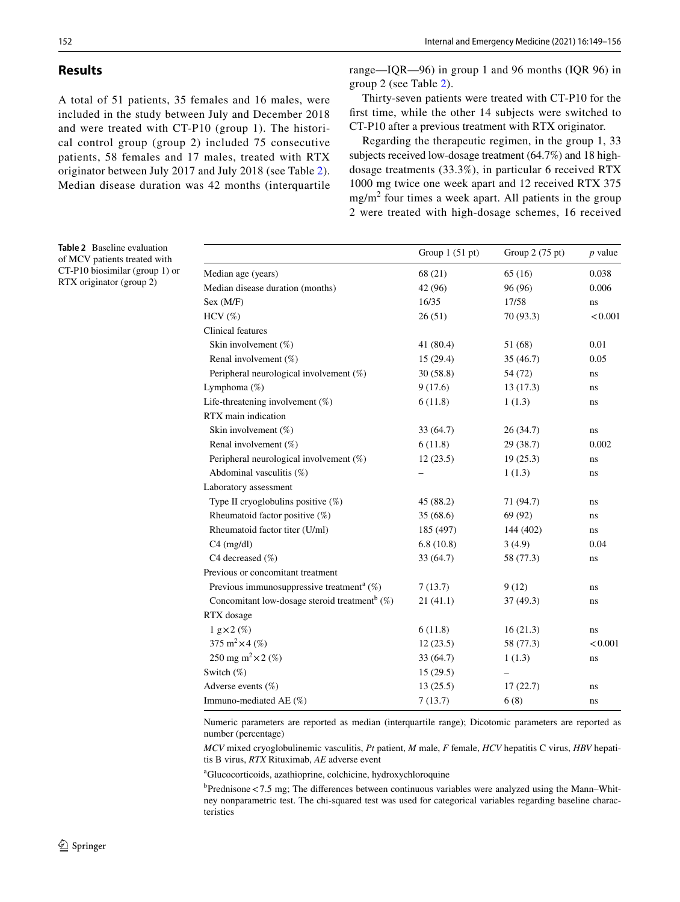### **Results**

A total of 51 patients, 35 females and 16 males, were included in the study between July and December 2018 and were treated with CT-P10 (group 1). The historical control group (group 2) included 75 consecutive patients, 58 females and 17 males, treated with RTX originator between July 2017 and July 2018 (see Table [2](#page-3-0)). Median disease duration was 42 months (interquartile range—IQR—96) in group 1 and 96 months (IQR 96) in group 2 (see Table [2](#page-3-0)).

Thirty-seven patients were treated with CT-P10 for the frst time, while the other 14 subjects were switched to CT-P10 after a previous treatment with RTX originator.

Regarding the therapeutic regimen, in the group 1, 33 subjects received low-dosage treatment (64.7%) and 18 highdosage treatments (33.3%), in particular 6 received RTX 1000 mg twice one week apart and 12 received RTX 375 mg/m<sup>2</sup> four times a week apart. All patients in the group 2 were treated with high-dosage schemes, 16 received

|                                                              | Group $1(51 pt)$ | Group 2 (75 pt) | $p$ value |
|--------------------------------------------------------------|------------------|-----------------|-----------|
| Median age (years)                                           | 68 (21)          | 65(16)          | 0.038     |
| Median disease duration (months)                             | 42 (96)          | 96 (96)         | 0.006     |
| Sex (M/F)                                                    | 16/35            | 17/58           | ns        |
| $HCV$ $(\%)$                                                 | 26(51)           | 70 (93.3)       | < 0.001   |
| Clinical features                                            |                  |                 |           |
| Skin involvement (%)                                         | 41 (80.4)        | 51 (68)         | 0.01      |
| Renal involvement (%)                                        | 15(29.4)         | 35(46.7)        | 0.05      |
| Peripheral neurological involvement (%)                      | 30(58.8)         | 54 (72)         | ns        |
| Lymphoma (%)                                                 | 9(17.6)          | 13(17.3)        | ns.       |
| Life-threatening involvement (%)                             | 6(11.8)          | 1(1.3)          | ns        |
| RTX main indication                                          |                  |                 |           |
| Skin involvement (%)                                         | 33 (64.7)        | 26(34.7)        | ns        |
| Renal involvement (%)                                        | 6(11.8)          | 29 (38.7)       | 0.002     |
| Peripheral neurological involvement (%)                      | 12(23.5)         | 19(25.3)        | ns        |
| Abdominal vasculitis (%)                                     |                  | 1(1.3)          | ns        |
| Laboratory assessment                                        |                  |                 |           |
| Type II cryoglobulins positive (%)                           | 45 (88.2)        | 71 (94.7)       | ns        |
| Rheumatoid factor positive (%)                               | 35 (68.6)        | 69 (92)         | ns        |
| Rheumatoid factor titer (U/ml)                               | 185 (497)        | 144 (402)       | ns        |
| $C4$ (mg/dl)                                                 | 6.8(10.8)        | 3(4.9)          | 0.04      |
| C4 decreased (%)                                             | 33 (64.7)        | 58 (77.3)       | ns        |
| Previous or concomitant treatment                            |                  |                 |           |
| Previous immunosuppressive treatment <sup>a</sup> $(\%)$     | 7(13.7)          | 9(12)           | ns        |
| Concomitant low-dosage steroid treatment <sup>b</sup> $(\%)$ | 21(41.1)         | 37 (49.3)       | ns        |
| RTX dosage                                                   |                  |                 |           |
| $1 g \times 2 (\%)$                                          | 6(11.8)          | 16(21.3)        | ns        |
| 375 m <sup>2</sup> $\times$ 4 (%)                            | 12(23.5)         | 58 (77.3)       | < 0.001   |
| 250 mg m <sup>2</sup> $\times$ 2 (%)                         | 33 (64.7)        | 1(1.3)          | ns        |
| Switch (%)                                                   | 15(29.5)         |                 |           |
| Adverse events (%)                                           | 13(25.5)         | 17(22.7)        | ns        |
| Immuno-mediated AE (%)                                       | 7(13.7)          | 6(8)            | ns        |

Numeric parameters are reported as median (interquartile range); Dicotomic parameters are reported as number (percentage)

*MCV* mixed cryoglobulinemic vasculitis, *Pt* patient, *M* male, *F* female, *HCV* hepatitis C virus, *HBV* hepatitis B virus, *RTX* Rituximab, *AE* adverse event

a Glucocorticoids, azathioprine, colchicine, hydroxychloroquine

<sup>b</sup>Prednisone <7.5 mg; The differences between continuous variables were analyzed using the Mann–Whitney nonparametric test. The chi-squared test was used for categorical variables regarding baseline characteristics

<span id="page-3-0"></span>**Table 2** Baseline evaluation of MCV patients treated with CT-P10 biosimilar (group 1) or RTX originator (group 2)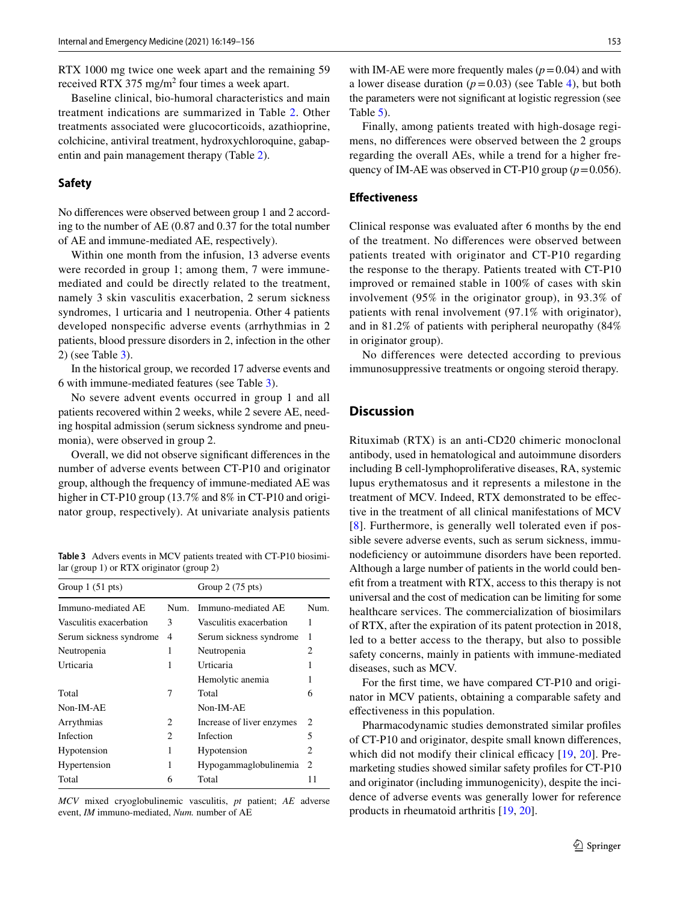RTX 1000 mg twice one week apart and the remaining 59 received RTX 375 mg/m<sup>2</sup> four times a week apart.

Baseline clinical, bio-humoral characteristics and main treatment indications are summarized in Table [2](#page-3-0). Other treatments associated were glucocorticoids, azathioprine, colchicine, antiviral treatment, hydroxychloroquine, gabapentin and pain management therapy (Table [2\)](#page-3-0).

### **Safety**

No diferences were observed between group 1 and 2 according to the number of AE (0.87 and 0.37 for the total number of AE and immune-mediated AE, respectively).

Within one month from the infusion, 13 adverse events were recorded in group 1; among them, 7 were immunemediated and could be directly related to the treatment, namely 3 skin vasculitis exacerbation, 2 serum sickness syndromes, 1 urticaria and 1 neutropenia. Other 4 patients developed nonspecifc adverse events (arrhythmias in 2 patients, blood pressure disorders in 2, infection in the other 2) (see Table [3\)](#page-4-0).

In the historical group, we recorded 17 adverse events and 6 with immune-mediated features (see Table [3\)](#page-4-0).

No severe advent events occurred in group 1 and all patients recovered within 2 weeks, while 2 severe AE, needing hospital admission (serum sickness syndrome and pneumonia), were observed in group 2.

Overall, we did not observe signifcant diferences in the number of adverse events between CT-P10 and originator group, although the frequency of immune-mediated AE was higher in CT-P10 group (13.7% and 8% in CT-P10 and originator group, respectively). At univariate analysis patients

<span id="page-4-0"></span>**Table 3** Advers events in MCV patients treated with CT-P10 biosimilar (group 1) or RTX originator (group 2)

| Group $1(51 \text{ pts})$ |                | Group $2(75 \text{ pts})$ |      |
|---------------------------|----------------|---------------------------|------|
| Immuno-mediated AE        | Num.           | Immuno-mediated AE        | Num. |
| Vasculitis exacerbation   | 3              | Vasculitis exacerbation   | 1    |
| Serum sickness syndrome   | $\overline{4}$ | Serum sickness syndrome   | 1    |
| Neutropenia               | 1              | Neutropenia               | 2    |
| Urticaria                 | 1              | Urticaria                 |      |
|                           |                | Hemolytic anemia          |      |
| Total                     | 7              | Total                     | 6    |
| Non-IM-AE                 |                | Non-IM-AE                 |      |
| Arrythmias                | 2              | Increase of liver enzymes | 2    |
| Infection                 | 2              | Infection                 | 5    |
| Hypotension               | 1              | Hypotension               | 2    |
| Hypertension              | 1              | Hypogammaglobulinemia     | 2    |
| Total                     | 6              | Total                     | 11   |
|                           |                |                           |      |

*MCV* mixed cryoglobulinemic vasculitis, *pt* patient; *AE* adverse event, *IM* immuno-mediated, *Num.* number of AE

with IM-AE were more frequently males  $(p=0.04)$  and with a lower disease duration  $(p=0.03)$  (see Table [4](#page-5-0)), but both the parameters were not signifcant at logistic regression (see Table [5](#page-5-1)).

Finally, among patients treated with high-dosage regimens, no diferences were observed between the 2 groups regarding the overall AEs, while a trend for a higher frequency of IM-AE was observed in CT-P10 group  $(p=0.056)$ .

### **Efectiveness**

Clinical response was evaluated after 6 months by the end of the treatment. No diferences were observed between patients treated with originator and CT-P10 regarding the response to the therapy. Patients treated with CT-P10 improved or remained stable in 100% of cases with skin involvement (95% in the originator group), in 93.3% of patients with renal involvement (97.1% with originator), and in 81.2% of patients with peripheral neuropathy (84% in originator group).

No differences were detected according to previous immunosuppressive treatments or ongoing steroid therapy.

### **Discussion**

Rituximab (RTX) is an anti-CD20 chimeric monoclonal antibody, used in hematological and autoimmune disorders including B cell-lymphoproliferative diseases, RA, systemic lupus erythematosus and it represents a milestone in the treatment of MCV. Indeed, RTX demonstrated to be efective in the treatment of all clinical manifestations of MCV [[8\]](#page-6-5). Furthermore, is generally well tolerated even if possible severe adverse events, such as serum sickness, immunodeficiency or autoimmune disorders have been reported. Although a large number of patients in the world could beneft from a treatment with RTX, access to this therapy is not universal and the cost of medication can be limiting for some healthcare services. The commercialization of biosimilars of RTX, after the expiration of its patent protection in 2018, led to a better access to the therapy, but also to possible safety concerns, mainly in patients with immune-mediated diseases, such as MCV.

For the frst time, we have compared CT-P10 and originator in MCV patients, obtaining a comparable safety and efectiveness in this population.

Pharmacodynamic studies demonstrated similar profles of CT-P10 and originator, despite small known diferences, which did not modify their clinical efficacy  $[19, 20]$  $[19, 20]$  $[19, 20]$  $[19, 20]$ . Premarketing studies showed similar safety profles for CT-P10 and originator (including immunogenicity), despite the incidence of adverse events was generally lower for reference products in rheumatoid arthritis [[19](#page-7-7), [20](#page-7-8)].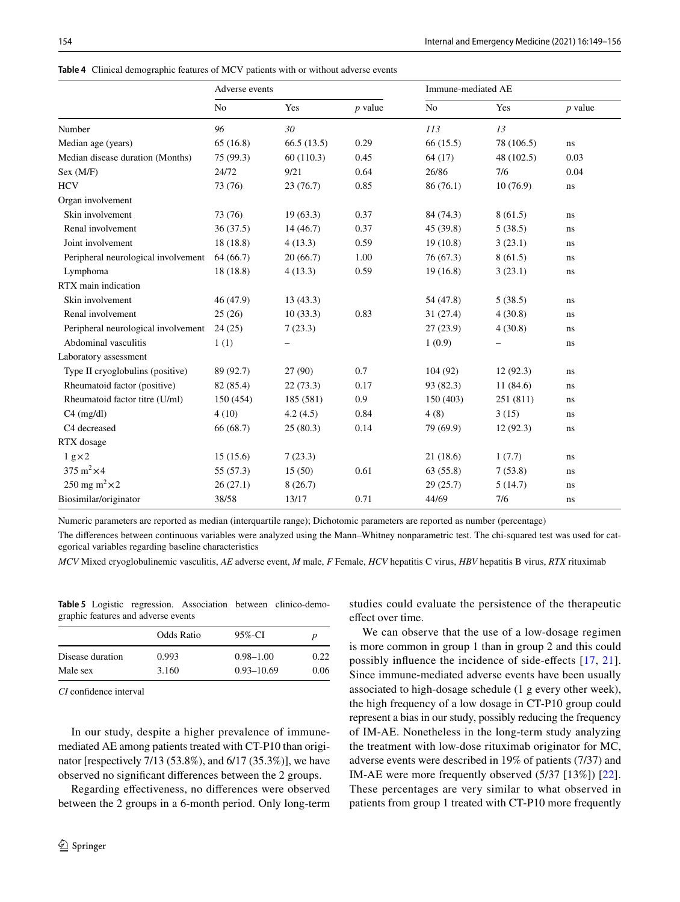<span id="page-5-0"></span>

|  |  | <b>Table 4</b> Clinical demographic features of MCV patients with or without adverse events |  |  |  |  |  |  |  |  |
|--|--|---------------------------------------------------------------------------------------------|--|--|--|--|--|--|--|--|
|--|--|---------------------------------------------------------------------------------------------|--|--|--|--|--|--|--|--|

|                                     | Adverse events |                          |           | Immune-mediated AE    |            |           |  |
|-------------------------------------|----------------|--------------------------|-----------|-----------------------|------------|-----------|--|
|                                     | N <sub>o</sub> | Yes                      | $p$ value | N <sub>0</sub>        | Yes        | $p$ value |  |
| Number                              | 96             | 30                       |           | 113                   | 13         |           |  |
| Median age (years)                  | 65(16.8)       | 66.5(13.5)               | 0.29      | 66(15.5)              | 78 (106.5) | ns        |  |
| Median disease duration (Months)    | 75 (99.3)      | 60(110.3)                | 0.45      | 64(17)                | 48 (102.5) | 0.03      |  |
| Sex (M/F)                           | 24/72          | 9/21                     | 0.64      | 26/86                 | 7/6        | 0.04      |  |
| <b>HCV</b>                          | 73 (76)        | 23(76.7)                 | 0.85      | 86(76.1)              | 10(76.9)   | ns        |  |
| Organ involvement                   |                |                          |           |                       |            |           |  |
| Skin involvement                    | 73 (76)        | 19(63.3)                 | 0.37      | 84 (74.3)             | 8(61.5)    | ns        |  |
| Renal involvement                   | 36(37.5)       | 14(46.7)                 | 0.37      | 45 (39.8)             | 5(38.5)    | ns        |  |
| Joint involvement                   | 18(18.8)       | 4(13.3)                  | 0.59      | 19(10.8)              | 3(23.1)    | ns        |  |
| Peripheral neurological involvement | 64 (66.7)      | 20(66.7)                 | 1.00      | 76 (67.3)             | 8(61.5)    | ns        |  |
| Lymphoma                            | 18(18.8)       | 4(13.3)                  | 0.59      | 19(16.8)              | 3(23.1)    | ns        |  |
| RTX main indication                 |                |                          |           |                       |            |           |  |
| Skin involvement                    | 46 (47.9)      | 13(43.3)                 |           | 54 (47.8)             | 5(38.5)    | ns        |  |
| Renal involvement                   | 25(26)         | 10(33.3)                 | 0.83      | 31(27.4)              | 4(30.8)    | ns        |  |
| Peripheral neurological involvement | 24(25)         | 7(23.3)                  |           | 27(23.9)              | 4(30.8)    | ns        |  |
| Abdominal vasculitis                | 1(1)           | $\overline{\phantom{0}}$ |           | 1(0.9)                |            | ns        |  |
| Laboratory assessment               |                |                          |           |                       |            |           |  |
| Type II cryoglobulins (positive)    | 89 (92.7)      | 27(90)                   | 0.7       | 104(92)               | 12(92.3)   | ns        |  |
| Rheumatoid factor (positive)        | 82 (85.4)      | 22(73.3)                 | 0.17      | 93 (82.3)<br>11(84.6) |            | ns        |  |
| Rheumatoid factor titre (U/ml)      | 150 (454)      | 185 (581)                | 0.9       | 150 (403)             | 251 (811)  |           |  |
| $C4$ (mg/dl)                        | 4(10)          | 4.2(4.5)                 | 0.84      | 4(8)                  | 3(15)      | ns        |  |
| C4 decreased                        | 66 (68.7)      | 25(80.3)                 | 0.14      | 79 (69.9)             | 12(92.3)   | ns        |  |
| RTX dosage                          |                |                          |           |                       |            |           |  |
| $1 g \times 2$                      | 15(15.6)       | 7(23.3)                  |           | 21(18.6)              | 1(7.7)     | ns        |  |
| 375 m <sup>2</sup> $\times$ 4       | 55 (57.3)      | 15(50)                   | 0.61      | 63(55.8)              | 7(53.8)    | ns        |  |
| 250 mg m <sup>2</sup> $\times$ 2    | 26(27.1)       | 8(26.7)                  |           | 29(25.7)              | 5(14.7)    | ns        |  |
| Biosimilar/originator               | 38/58          | 13/17                    | 0.71      | 44/69                 | 7/6        | ns        |  |

Numeric parameters are reported as median (interquartile range); Dichotomic parameters are reported as number (percentage)

The diferences between continuous variables were analyzed using the Mann–Whitney nonparametric test. The chi-squared test was used for categorical variables regarding baseline characteristics

*MCV* Mixed cryoglobulinemic vasculitis, *AE* adverse event, *M* male, *F* Female, *HCV* hepatitis C virus, *HBV* hepatitis B virus, *RTX* rituximab

<span id="page-5-1"></span>**Table 5** Logistic regression. Association between clinico-demographic features and adverse events

|                  | Odds Ratio | 95%-CI         | p    |  |
|------------------|------------|----------------|------|--|
| Disease duration | 0.993      | $0.98 - 1.00$  | 0.22 |  |
| Male sex         | 3.160      | $0.93 - 10.69$ | 0.06 |  |

*CI* confdence interval

In our study, despite a higher prevalence of immunemediated AE among patients treated with CT-P10 than originator [respectively 7/13 (53.8%), and 6/17 (35.3%)], we have observed no signifcant diferences between the 2 groups.

Regarding efectiveness, no diferences were observed between the 2 groups in a 6-month period. Only long-term studies could evaluate the persistence of the therapeutic effect over time.

We can observe that the use of a low-dosage regimen is more common in group 1 than in group 2 and this could possibly infuence the incidence of side-efects [\[17,](#page-7-5) [21](#page-7-9)]. Since immune-mediated adverse events have been usually associated to high-dosage schedule (1 g every other week), the high frequency of a low dosage in CT-P10 group could represent a bias in our study, possibly reducing the frequency of IM-AE. Nonetheless in the long-term study analyzing the treatment with low-dose rituximab originator for MC, adverse events were described in 19% of patients (7/37) and IM-AE were more frequently observed (5/37 [13%]) [[22](#page-7-10)]. These percentages are very similar to what observed in patients from group 1 treated with CT-P10 more frequently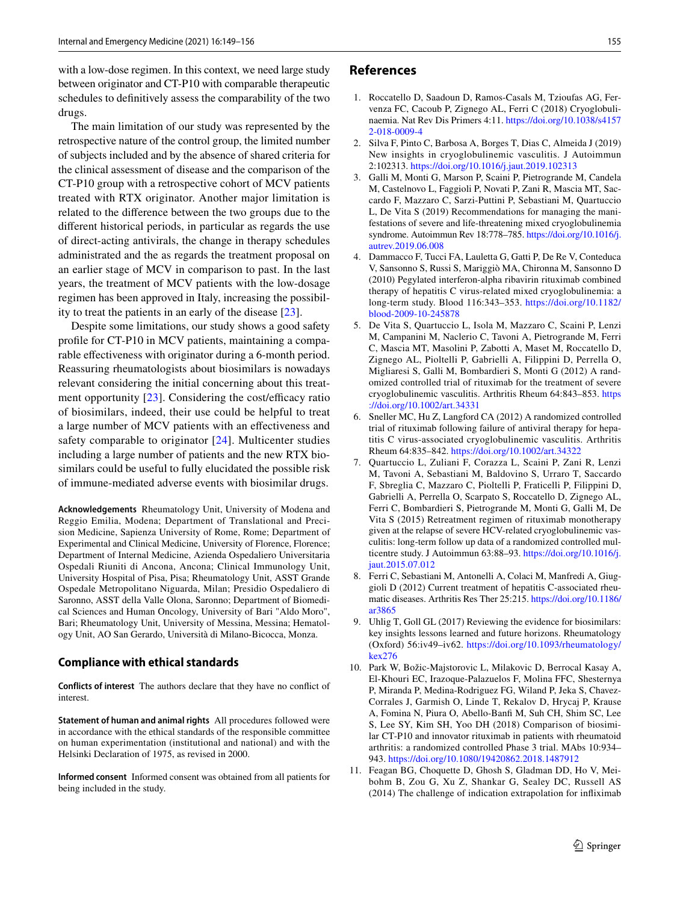with a low-dose regimen. In this context, we need large study between originator and CT-P10 with comparable therapeutic schedules to defnitively assess the comparability of the two drugs.

The main limitation of our study was represented by the retrospective nature of the control group, the limited number of subjects included and by the absence of shared criteria for the clinical assessment of disease and the comparison of the CT-P10 group with a retrospective cohort of MCV patients treated with RTX originator. Another major limitation is related to the diference between the two groups due to the diferent historical periods, in particular as regards the use of direct-acting antivirals, the change in therapy schedules administrated and the as regards the treatment proposal on an earlier stage of MCV in comparison to past. In the last years, the treatment of MCV patients with the low-dosage regimen has been approved in Italy, increasing the possibility to treat the patients in an early of the disease [\[23](#page-7-11)].

Despite some limitations, our study shows a good safety profle for CT-P10 in MCV patients, maintaining a comparable efectiveness with originator during a 6-month period. Reassuring rheumatologists about biosimilars is nowadays relevant considering the initial concerning about this treatment opportunity  $[23]$  $[23]$ . Considering the cost/efficacy ratio of biosimilars, indeed, their use could be helpful to treat a large number of MCV patients with an efectiveness and safety comparable to originator [\[24](#page-7-12)]. Multicenter studies including a large number of patients and the new RTX biosimilars could be useful to fully elucidated the possible risk of immune-mediated adverse events with biosimilar drugs.

**Acknowledgements** Rheumatology Unit, University of Modena and Reggio Emilia, Modena; Department of Translational and Precision Medicine, Sapienza University of Rome, Rome; Department of Experimental and Clinical Medicine, University of Florence, Florence; Department of Internal Medicine, Azienda Ospedaliero Universitaria Ospedali Riuniti di Ancona, Ancona; Clinical Immunology Unit, University Hospital of Pisa, Pisa; Rheumatology Unit, ASST Grande Ospedale Metropolitano Niguarda, Milan; Presidio Ospedaliero di Saronno, ASST della Valle Olona, Saronno; Department of Biomedical Sciences and Human Oncology, University of Bari "Aldo Moro", Bari; Rheumatology Unit, University of Messina, Messina; Hematology Unit, AO San Gerardo, Università di Milano-Bicocca, Monza.

#### **Compliance with ethical standards**

**Conflicts of interest** The authors declare that they have no confict of interest.

**Statement of human and animal rights** All procedures followed were in accordance with the ethical standards of the responsible committee on human experimentation (institutional and national) and with the Helsinki Declaration of 1975, as revised in 2000.

**Informed consent** Informed consent was obtained from all patients for being included in the study.

### **References**

- <span id="page-6-0"></span>1. Roccatello D, Saadoun D, Ramos-Casals M, Tzioufas AG, Fervenza FC, Cacoub P, Zignego AL, Ferri C (2018) Cryoglobulinaemia. Nat Rev Dis Primers 4:11. [https://doi.org/10.1038/s4157](https://doi.org/10.1038/s41572-018-0009-4) [2-018-0009-4](https://doi.org/10.1038/s41572-018-0009-4)
- <span id="page-6-1"></span>2. Silva F, Pinto C, Barbosa A, Borges T, Dias C, Almeida J (2019) New insights in cryoglobulinemic vasculitis. J Autoimmun 2:102313. <https://doi.org/10.1016/j.jaut.2019.102313>
- <span id="page-6-2"></span>3. Galli M, Monti G, Marson P, Scaini P, Pietrogrande M, Candela M, Castelnovo L, Faggioli P, Novati P, Zani R, Mascia MT, Saccardo F, Mazzaro C, Sarzi-Puttini P, Sebastiani M, Quartuccio L, De Vita S (2019) Recommendations for managing the manifestations of severe and life-threatening mixed cryoglobulinemia syndrome. Autoimmun Rev 18:778–785. [https://doi.org/10.1016/j.](https://doi.org/10.1016/j.autrev.2019.06.008) [autrev.2019.06.008](https://doi.org/10.1016/j.autrev.2019.06.008)
- <span id="page-6-3"></span>4. Dammacco F, Tucci FA, Lauletta G, Gatti P, De Re V, Conteduca V, Sansonno S, Russi S, Mariggiò MA, Chironna M, Sansonno D (2010) Pegylated interferon-alpha ribavirin rituximab combined therapy of hepatitis C virus-related mixed cryoglobulinemia: a long-term study. Blood 116:343–353. [https://doi.org/10.1182/](https://doi.org/10.1182/blood-2009-10-245878) [blood-2009-10-245878](https://doi.org/10.1182/blood-2009-10-245878)
- 5. De Vita S, Quartuccio L, Isola M, Mazzaro C, Scaini P, Lenzi M, Campanini M, Naclerio C, Tavoni A, Pietrogrande M, Ferri C, Mascia MT, Masolini P, Zabotti A, Maset M, Roccatello D, Zignego AL, Pioltelli P, Gabrielli A, Filippini D, Perrella O, Migliaresi S, Galli M, Bombardieri S, Monti G (2012) A randomized controlled trial of rituximab for the treatment of severe cryoglobulinemic vasculitis. Arthritis Rheum 64:843–853. [https](https://doi.org/10.1002/art.34331) [://doi.org/10.1002/art.34331](https://doi.org/10.1002/art.34331)
- 6. Sneller MC, Hu Z, Langford CA (2012) A randomized controlled trial of rituximab following failure of antiviral therapy for hepatitis C virus-associated cryoglobulinemic vasculitis. Arthritis Rheum 64:835–842.<https://doi.org/10.1002/art.34322>
- <span id="page-6-4"></span>7. Quartuccio L, Zuliani F, Corazza L, Scaini P, Zani R, Lenzi M, Tavoni A, Sebastiani M, Baldovino S, Urraro T, Saccardo F, Sbreglia C, Mazzaro C, Pioltelli P, Fraticelli P, Filippini D, Gabrielli A, Perrella O, Scarpato S, Roccatello D, Zignego AL, Ferri C, Bombardieri S, Pietrogrande M, Monti G, Galli M, De Vita S (2015) Retreatment regimen of rituximab monotherapy given at the relapse of severe HCV-related cryoglobulinemic vasculitis: long-term follow up data of a randomized controlled multicentre study. J Autoimmun 63:88–93. [https://doi.org/10.1016/j.](https://doi.org/10.1016/j.jaut.2015.07.012) [jaut.2015.07.012](https://doi.org/10.1016/j.jaut.2015.07.012)
- <span id="page-6-5"></span>8. Ferri C, Sebastiani M, Antonelli A, Colaci M, Manfredi A, Giuggioli D (2012) Current treatment of hepatitis C-associated rheumatic diseases. Arthritis Res Ther 25:215. [https://doi.org/10.1186/](https://doi.org/10.1186/ar3865) [ar3865](https://doi.org/10.1186/ar3865)
- <span id="page-6-6"></span>9. Uhlig T, Goll GL (2017) Reviewing the evidence for biosimilars: key insights lessons learned and future horizons. Rheumatology (Oxford) 56:iv49–iv62. [https://doi.org/10.1093/rheumatology/](https://doi.org/10.1093/rheumatology/kex276) [kex276](https://doi.org/10.1093/rheumatology/kex276)
- 10. Park W, Božic-Majstorovic L, Milakovic D, Berrocal Kasay A, El-Khouri EC, Irazoque-Palazuelos F, Molina FFC, Shesternya P, Miranda P, Medina-Rodriguez FG, Wiland P, Jeka S, Chavez-Corrales J, Garmish O, Linde T, Rekalov D, Hrycaj P, Krause A, Fomina N, Piura O, Abello-Banf M, Suh CH, Shim SC, Lee S, Lee SY, Kim SH, Yoo DH (2018) Comparison of biosimilar CT-P10 and innovator rituximab in patients with rheumatoid arthritis: a randomized controlled Phase 3 trial. MAbs 10:934– 943.<https://doi.org/10.1080/19420862.2018.1487912>
- 11. Feagan BG, Choquette D, Ghosh S, Gladman DD, Ho V, Meibohm B, Zou G, Xu Z, Shankar G, Sealey DC, Russell AS (2014) The challenge of indication extrapolation for infiximab